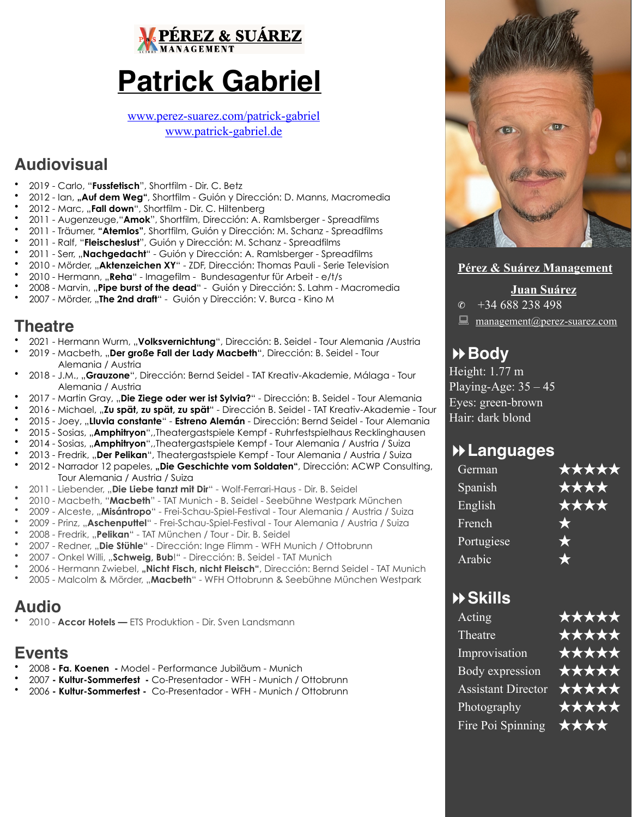

# **Patrick Gabriel**

[www.perez-suarez.com/patrick-gabriel](http://www.perez-suarez.com/patrick-gabriel) [www.patrick-gabriel.de](http://www.patrick-gabriel.de)

## **Audiovisual**

- 2019 Carlo, "**Fussfetisch**", Shortfilm Dir. C. Betz
- 2012 Ian, **"Auf dem Weg"**, Shortfilm Guión y Dirección: D. Manns, Macromedia
- 2012 Marc, "**Fall down**", Shortfilm Dir. C. Hiltenberg
- 2011 Augenzeuge,"**Amok**", Shortfilm, Dirección: A. Ramlsberger Spreadfilms
- 2011 Träumer, **"Atemlos"**, Shortfilm, Guión y Dirección: M. Schanz Spreadfilms
- 2011 Ralf, "**Fleischeslust**", Guión y Dirección: M. Schanz Spreadfilms
- 2011 Serr, "**Nachgedacht**" Guión y Dirección: A. Ramlsberger Spreadfilms
- 2010 Mörder, "**Aktenzeichen XY**" ZDF, Dirección: Thomas Pauli Serie Television
- 2010 Hermann, "**Reha**" Imagefilm Bundesagentur für Arbeit e/t/s
- 2008 Marvin, "**Pipe burst of the dead**" Guión y Dirección: S. Lahm Macromedia
- 2007 Mörder, "**The 2nd draft**" Guión y Dirección: V. Burca Kino M

## **Theatre**

- 2021 Hermann Wurm, "**Volksvernichtung**", Dirección: B. Seidel Tour Alemania /Austria
- 2019 Macbeth, "**Der große Fall der Lady Macbeth**", Dirección: B. Seidel Tour Alemania / Austria
- 2018 J.M., "**Grauzone**", Dirección: Bernd Seidel TAT Kreativ-Akademie, Málaga Tour Alemania / Austria
- 2017 Martin Gray, "**Die Ziege oder wer ist Sylvia?**" Dirección: B. Seidel Tour Alemania
- 2016 Michael, "**Zu spät, zu spät, zu spät**" Dirección B. Seidel TAT Kreativ-Akademie Tour
- 2015 Joey, "**Lluvia constante**" **Estreno Alemán** Dirección: Bernd Seidel Tour Alemania
- 2015 Sosias, "**Amphitryon**",,Theatergastspiele Kempf Ruhrfestspielhaus Recklinghausen
- 2014 Sosias, "**Amphitryon**",,Theatergastspiele Kempf Tour Alemania / Austria / Suiza
- 2013 Fredrik, "**Der Pelikan**", Theatergastspiele Kempf Tour Alemania / Austria / Suiza 2012 - Narrador 12 papeles, "Die Geschichte vom Soldaten", Dirección: ACWP Consultina. Tour Alemania / Austria / Suiza
- 2011 Liebender, "**Die Liebe tanzt mit Dir**" Wolf-Ferrari-Haus Dir. B. Seidel
- 2010 Macbeth, "**Macbeth**" TAT Munich B. Seidel Seebühne Westpark München
- 2009 Alceste, "**Misántropo**" Frei-Schau-Spiel-Festival Tour Alemania / Austria / Suiza
- 2009 Prinz, "**Aschenputtel**" Frei-Schau-Spiel-Festival Tour Alemania / Austria / Suiza
- 2008 Fredrik, "**Pelikan**" TAT München / Tour Dir. B. Seidel
- 2007 Redner, "**Die Stühle**" Dirección: Inge Flimm WFH Munich / Ottobrunn
- 2007 Onkel Willi, "**Schweig, Bub**!" Dirección: B. Seidel TAT Munich
- 2006 Hermann Zwiebel, **"Nicht Fisch, nicht Fleisch"**, Dirección: Bernd Seidel TAT Munich
- 2005 Malcolm & Mörder, "**Macbeth**" WFH Ottobrunn & Seebühne München Westpark

## **Audio**

• 2010 - **Accor Hotels —** ETS Produktion - Dir. Sven Landsmann

## **Events**

- 2008 **- Fa. Koenen -** Model Performance Jubiläum Munich
- 2007 **- Kultur-Sommerfest -** Co-Presentador WFH Munich / Ottobrunn
- 2006 **Kultur-Sommerfest** Co-Presentador WFH Munich / Ottobrunn



## **Pérez & Suárez Management**

**Juan Suárez**

 $\circ$  +34 688 238 498

[management@perez-suarez.com](mailto:management@perez-suarez.com)

## !**Body**

Height: 1.77 m Playing-Age:  $35 - 45$ Eyes: green-brown Hair: dark blond

## !**Languages**

| German     | ★★★★★      |
|------------|------------|
| Spanish    | ★★★★       |
| English    | ★★★★       |
| French     |            |
| Portugiese | $\bigstar$ |
| Arabic     |            |

## !**Skills**

| ★★★★★ |
|-------|
| ***** |
| ***** |
| ***** |
| ***** |
| ***** |
| ****  |
|       |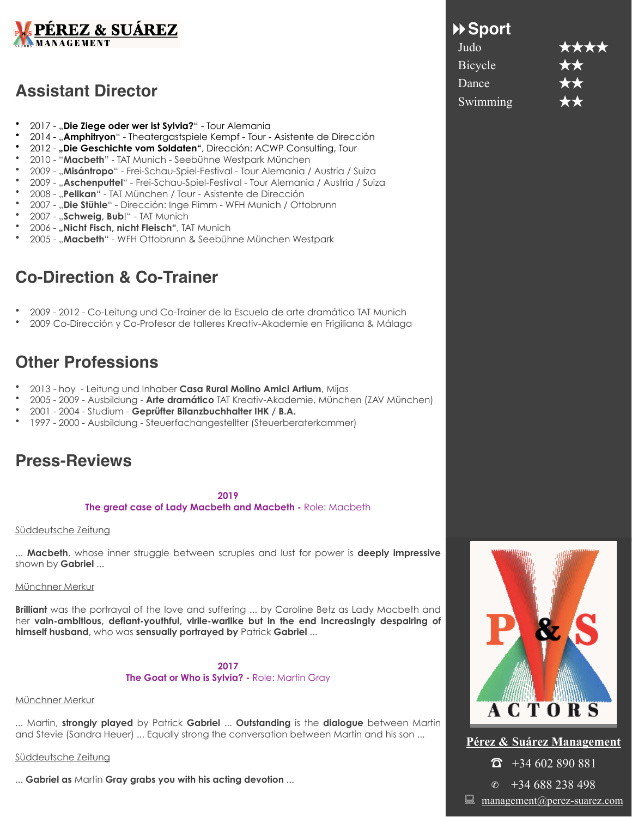

## **Assistant Director**

- 2017 "**Die Ziege oder wer ist Sylvia?**" Tour Alemania
- 2014 "**Amphitryon**" Theatergastspiele Kempf Tour Asistente de Dirección
- 2012 **"Die Geschichte vom Soldaten"**, Dirección: ACWP Consulting, Tour
- 2010 "**Macbeth**" TAT Munich Seebühne Westpark München
- 2009 "**Misántropo**" Frei-Schau-Spiel-Festival Tour Alemania / Austria / Suiza
- 2009 "**Aschenputtel**" Frei-Schau-Spiel-Festival Tour Alemania / Austria / Suiza
- 2008 "**Pelikan**" TAT München / Tour Asistente de Dirección
- 2007 "**Die Stühle**" Dirección: Inge Flimm WFH Munich / Ottobrunn
- 2007 "**Schweig, Bub**!" TAT Munich
- 2006 **"Nicht Fisch, nicht Fleisch"**, TAT Munich
- 2005 "**Macbeth**" WFH Ottobrunn & Seebühne München Westpark

## **Co-Direction & Co-Trainer**

- 2009 2012 Co-Leitung und Co-Trainer de la Escuela de arte dramático TAT Munich
- 2009 Co-Dirección y Co-Profesor de talleres Kreativ-Akademie en Frigiliana & Málaga

## **Other Professions**

- 2013 hoy Leitung und Inhaber **Casa Rural Molino Amici Artium**, Mijas
- 2005 2009 Ausbildung **Arte dramático** TAT Kreativ-Akademie, München (ZAV München)
- 2001 2004 Studium **Geprüfter Bilanzbuchhalter IHK / B.A.**
- 1997 2000 Ausbildung Steuerfachangestellter (Steuerberaterkammer)

## **Press-Reviews**

**2019 The great case of Lady Macbeth and Macbeth -** Role: Macbeth

## Süddeutsche Zeitung

... **Macbeth**, whose inner struggle between scruples and lust for power is **deeply impressive** shown by **Gabriel** ...

### Münchner Merkur

**Brilliant** was the portrayal of the love and suffering ... by Caroline Betz as Lady Macbeth and her **vain-ambitious, defiant-youthful, virile-warlike but in the end increasingly despairing of himself husband**, who was **sensually portrayed by** Patrick **Gabriel** ...

> **2017 The Goat or Who is Sylvia? -** Role: Martin Gray

## Münchner Merkur

... Martin, **strongly played** by Patrick **Gabriel** ... **Outstanding** is the **dialogue** between Martin and Stevie (Sandra Heuer) ... Equally strong the conversation between Martin and his son ...

Süddeutsche Zeitung

... **Gabriel as** Martin **Gray grabs you with his acting devotion** ...

## !**Sport**

| Judo     | ★★★★ |
|----------|------|
| Bicycle  | **   |
| Dance    | **   |
| Swimming | ★★   |



**Pérez & Suárez Management**  $\widehat{\bullet}$  +34 602 890 881  $\overline{\textcircled{\textcirc}}$  +34 688 238 498

 $\Box$  [management@perez-suarez.com](mailto:management@perez-suarez.com)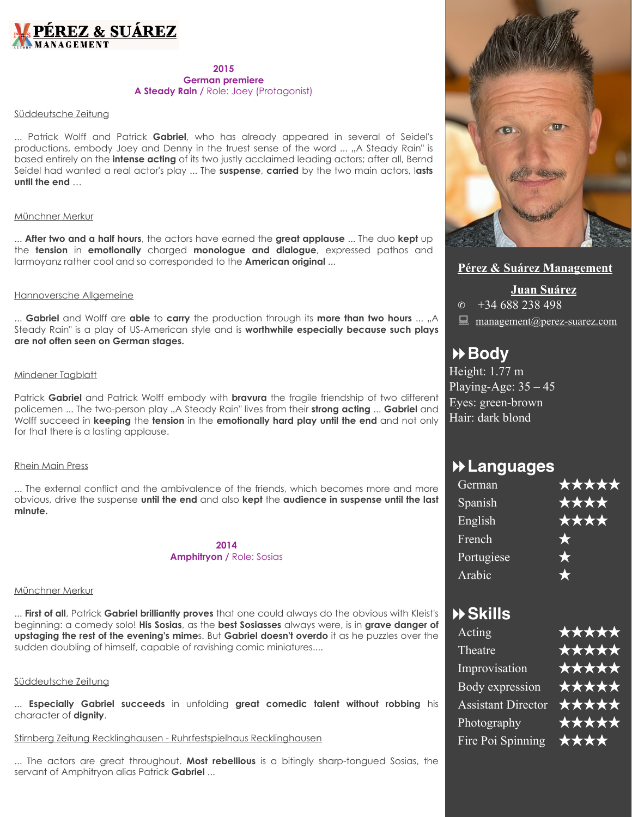

## **2015 German premiere A Steady Rain /** Role: Joey (Protagonist)

## Süddeutsche Zeitung

... Patrick Wolff and Patrick **Gabriel**, who has already appeared in several of Seidel's productions, embody Joey and Denny in the truest sense of the word ... "A Steady Rain" is based entirely on the **intense acting** of its two justly acclaimed leading actors; after all, Bernd Seidel had wanted a real actor's play ... The **suspense**, **carried** by the two main actors, l**asts until the end** …

### Münchner Merkur

... **After two and a half hours**, the actors have earned the **great applause** ... The duo **kept** up the **tension** in **emotionally** charged **monologue and dialogue**, expressed pathos and larmoyanz rather cool and so corresponded to the **American original** ...

### Hannoversche Allgemeine

... **Gabriel** and Wolff are **able** to **carry** the production through its **more than two hours** ... "A Steady Rain" is a play of US-American style and is **worthwhile especially because such plays are not often seen on German stages.** 

## Mindener Tagblatt

Patrick **Gabriel** and Patrick Wolff embody with **bravura** the fragile friendship of two different policemen ... The two-person play "A Steady Rain" lives from their **strong acting** ... Gabriel and Wolff succeed in **keeping** the **tension** in the **emotionally hard play until the end** and not only for that there is a lasting applause.

#### Rhein Main Press

... The external conflict and the ambivalence of the friends, which becomes more and more obvious, drive the suspense **until the end** and also **kept** the **audience in suspense until the last minute.** 

> **2014 Amphitryon /** Role: Sosias

#### Münchner Merkur

... **First of all**, Patrick **Gabriel brilliantly proves** that one could always do the obvious with Kleist's beginning: a comedy solo! **His Sosias**, as the **best Sosiasses** always were, is in **grave danger of upstaging the rest of the evening's mime**s. But **Gabriel doesn't overdo** it as he puzzles over the sudden doubling of himself, capable of ravishing comic miniatures....

### Süddeutsche Zeitung

... **Especially Gabriel succeeds** in unfolding **great comedic talent without robbing** his character of **dignity**.

## Stirnberg Zeitung Recklinghausen - Ruhrfestspielhaus Recklinghausen

... The actors are great throughout. **Most rebellious** is a bitingly sharp-tongued Sosias, the servant of Amphitryon alias Patrick **Gabriel** ...



## **Pérez & Suárez Management**

**Juan Suárez**  $\circ$  +34 688 238 498  $\Box$  [management@perez-suarez.com](mailto:management@perez-suarez.com)

## !**Body**

Height: 1.77 m Playing-Age:  $35 - 45$ Eyes: green-brown Hair: dark blond

## !**Languages**

| *****      |
|------------|
| ****       |
| ****       |
| $\bigstar$ |
| $\bigstar$ |
|            |
|            |

## !**Skills**

| Acting                    | ***** |
|---------------------------|-------|
| Theatre                   | ***** |
| Improvisation             | ***** |
| Body expression           | ***** |
| <b>Assistant Director</b> | ***** |
| Photography               | ***** |
| Fire Poi Spinning         | ****  |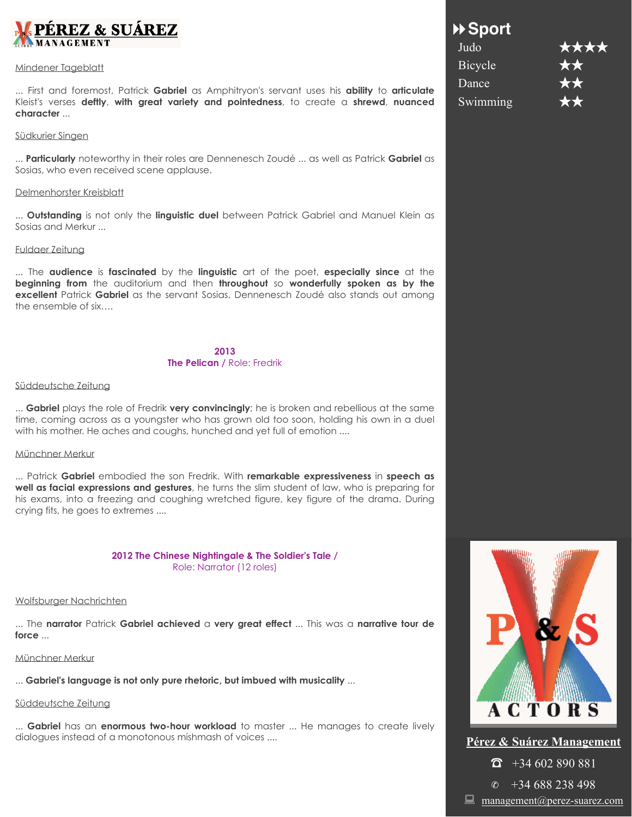

#### Mindener Tageblatt

... First and foremost, Patrick **Gabriel** as Amphitryon's servant uses his **ability** to **articulate** Kleist's verses **deftly**, **with great variety and pointedness**, to create a **shrewd**, **nuanced character** ...

#### Südkurier Singen

... **Particularly** noteworthy in their roles are Dennenesch Zoudé ... as well as Patrick **Gabriel** as Sosias, who even received scene applause.

#### Delmenhorster Kreisblatt

... **Outstanding** is not only the **linguistic duel** between Patrick Gabriel and Manuel Klein as Sosias and Merkur ...

### Fuldaer Zeitung

... The **audience** is **fascinated** by the **linguistic** art of the poet, **especially since** at the **beginning from** the auditorium and then **throughout** so **wonderfully spoken as by the excellent** Patrick **Gabriel** as the servant Sosias. Dennenesch Zoudé also stands out among the ensemble of six….

## **2013 The Pelican /** Role: Fredrik

### Süddeutsche Zeitung

... **Gabriel** plays the role of Fredrik **very convincingly**; he is broken and rebellious at the same time, coming across as a youngster who has grown old too soon, holding his own in a duel with his mother. He aches and coughs, hunched and yet full of emotion ....

### Münchner Merkur

... Patrick **Gabriel** embodied the son Fredrik. With **remarkable expressiveness** in **speech as well as facial expressions and gestures**, he turns the slim student of law, who is preparing for his exams, into a freezing and coughing wretched figure, key figure of the drama. During crying fits, he goes to extremes ....

### **2012 The Chinese Nightingale & The Soldier's Tale /**  Role: Narrator (12 roles)

### Wolfsburger Nachrichten

... The **narrator** Patrick **Gabriel achieved** a **very great effect** ... This was a **narrative tour de force** ...

## Münchner Merkur

... **Gabriel's language is not only pure rhetoric, but imbued with musicality** ...

## Süddeutsche Zeitung

... **Gabriel** has an **enormous two-hour workload** to master ... He manages to create lively dialogues instead of a monotonous mishmash of voices ....

## !**Sport**

| Judo                         | **** |
|------------------------------|------|
| Bicycle                      | **   |
| Dance                        | **   |
| $\overline{\text{Swimming}}$ | ★★   |



## **Pérez & Suárez Management**  $\widehat{\bullet}$  +34 602 890 881  $\circ$  +34 688 238 498

 $\Box$  [management@perez-suarez.com](mailto:management@perez-suarez.com)